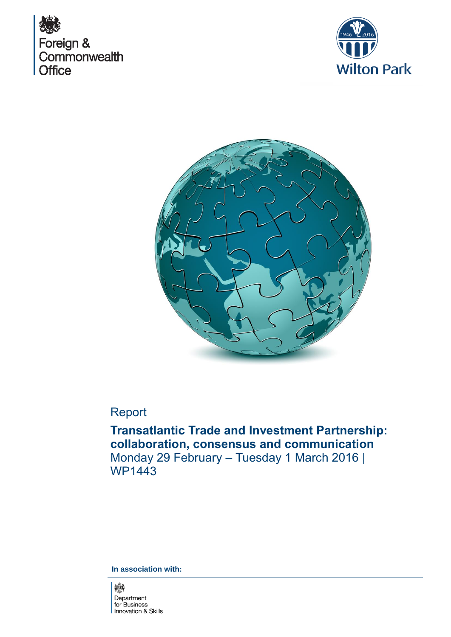





# Report

**Transatlantic Trade and Investment Partnership: collaboration, consensus and communication**  Monday 29 February – Tuesday 1 March 2016 | WP1443

**In association with:** 

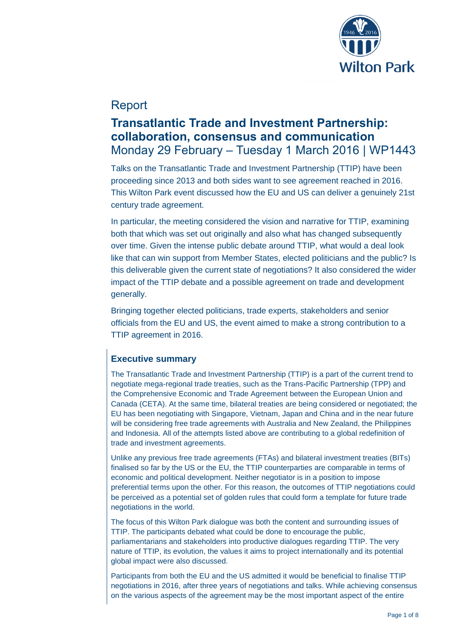

## Report

# **Transatlantic Trade and Investment Partnership: collaboration, consensus and communication**  Monday 29 February – Tuesday 1 March 2016 | WP1443

Talks on the Transatlantic Trade and Investment Partnership (TTIP) have been proceeding since 2013 and both sides want to see agreement reached in 2016. This Wilton Park event discussed how the EU and US can deliver a genuinely 21st century trade agreement.

In particular, the meeting considered the vision and narrative for TTIP, examining both that which was set out originally and also what has changed subsequently over time. Given the intense public debate around TTIP, what would a deal look like that can win support from Member States, elected politicians and the public? Is this deliverable given the current state of negotiations? It also considered the wider impact of the TTIP debate and a possible agreement on trade and development generally.

Bringing together elected politicians, trade experts, stakeholders and senior officials from the EU and US, the event aimed to make a strong contribution to a TTIP agreement in 2016.

## **Executive summary**

The Transatlantic Trade and Investment Partnership (TTIP) is a part of the current trend to negotiate mega-regional trade treaties, such as the Trans-Pacific Partnership (TPP) and the Comprehensive Economic and Trade Agreement between the European Union and Canada (CETA). At the same time, bilateral treaties are being considered or negotiated; the EU has been negotiating with Singapore, Vietnam, Japan and China and in the near future will be considering free trade agreements with Australia and New Zealand, the Philippines and Indonesia. All of the attempts listed above are contributing to a global redefinition of trade and investment agreements.

Unlike any previous free trade agreements (FTAs) and bilateral investment treaties (BITs) finalised so far by the US or the EU, the TTIP counterparties are comparable in terms of economic and political development. Neither negotiator is in a position to impose preferential terms upon the other. For this reason, the outcomes of TTIP negotiations could be perceived as a potential set of golden rules that could form a template for future trade negotiations in the world.

The focus of this Wilton Park dialogue was both the content and surrounding issues of TTIP. The participants debated what could be done to encourage the public, parliamentarians and stakeholders into productive dialogues regarding TTIP. The very nature of TTIP, its evolution, the values it aims to project internationally and its potential global impact were also discussed.

Participants from both the EU and the US admitted it would be beneficial to finalise TTIP negotiations in 2016, after three years of negotiations and talks. While achieving consensus on the various aspects of the agreement may be the most important aspect of the entire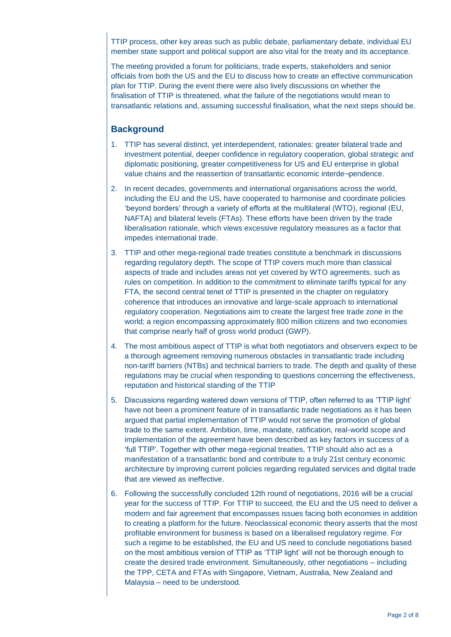TTIP process, other key areas such as public debate, parliamentary debate, individual EU member state support and political support are also vital for the treaty and its acceptance.

The meeting provided a forum for politicians, trade experts, stakeholders and senior officials from both the US and the EU to discuss how to create an effective communication plan for TTIP. During the event there were also lively discussions on whether the finalisation of TTIP is threatened, what the failure of the negotiations would mean to transatlantic relations and, assuming successful finalisation, what the next steps should be.

### **Background**

- 1. TTIP has several distinct, yet interdependent, rationales: greater bilateral trade and investment potential, deeper confidence in regulatory cooperation, global strategic and diplomatic positioning, greater competitiveness for US and EU enterprise in global value chains and the reassertion of transatlantic economic interde¬pendence.
- 2. In recent decades, governments and international organisations across the world, including the EU and the US, have cooperated to harmonise and coordinate policies 'beyond borders' through a variety of efforts at the multilateral (WTO), regional (EU, NAFTA) and bilateral levels (FTAs). These efforts have been driven by the trade liberalisation rationale, which views excessive regulatory measures as a factor that impedes international trade.
- 3. TTIP and other mega-regional trade treaties constitute a benchmark in discussions regarding regulatory depth. The scope of TTIP covers much more than classical aspects of trade and includes areas not yet covered by WTO agreements, such as rules on competition. In addition to the commitment to eliminate tariffs typical for any FTA, the second central tenet of TTIP is presented in the chapter on regulatory coherence that introduces an innovative and large-scale approach to international regulatory cooperation. Negotiations aim to create the largest free trade zone in the world; a region encompassing approximately 800 million citizens and two economies that comprise nearly half of gross world product (GWP).
- 4. The most ambitious aspect of TTIP is what both negotiators and observers expect to be a thorough agreement removing numerous obstacles in transatlantic trade including non-tariff barriers (NTBs) and technical barriers to trade. The depth and quality of these regulations may be crucial when responding to questions concerning the effectiveness, reputation and historical standing of the TTIP
- 5. Discussions regarding watered down versions of TTIP, often referred to as 'TTIP light' have not been a prominent feature of in transatlantic trade negotiations as it has been argued that partial implementation of TTIP would not serve the promotion of global trade to the same extent. Ambition, time, mandate, ratification, real-world scope and implementation of the agreement have been described as key factors in success of a 'full TTIP'. Together with other mega-regional treaties, TTIP should also act as a manifestation of a transatlantic bond and contribute to a truly 21st century economic architecture by improving current policies regarding regulated services and digital trade that are viewed as ineffective.
- 6. Following the successfully concluded 12th round of negotiations, 2016 will be a crucial year for the success of TTIP. For TTIP to succeed, the EU and the US need to deliver a modern and fair agreement that encompasses issues facing both economies in addition to creating a platform for the future. Neoclassical economic theory asserts that the most profitable environment for business is based on a liberalised regulatory regime. For such a regime to be established, the EU and US need to conclude negotiations based on the most ambitious version of TTIP as 'TTIP light' will not be thorough enough to create the desired trade environment. Simultaneously, other negotiations – including the TPP, CETA and FTAs with Singapore, Vietnam, Australia, New Zealand and Malaysia – need to be understood.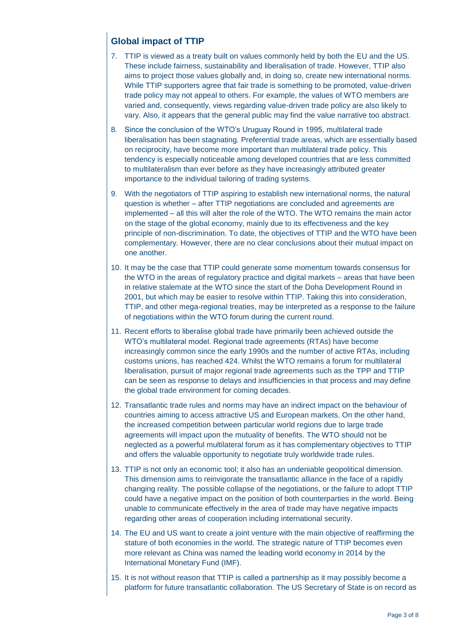## **Global impact of TTIP**

- 7. TTIP is viewed as a treaty built on values commonly held by both the EU and the US. These include fairness, sustainability and liberalisation of trade. However, TTIP also aims to project those values globally and, in doing so, create new international norms. While TTIP supporters agree that fair trade is something to be promoted, value-driven trade policy may not appeal to others. For example, the values of WTO members are varied and, consequently, views regarding value-driven trade policy are also likely to vary. Also, it appears that the general public may find the value narrative too abstract.
- 8. Since the conclusion of the WTO's Uruguay Round in 1995, multilateral trade liberalisation has been stagnating. Preferential trade areas, which are essentially based on reciprocity, have become more important than multilateral trade policy. This tendency is especially noticeable among developed countries that are less committed to multilateralism than ever before as they have increasingly attributed greater importance to the individual tailoring of trading systems.
- 9. With the negotiators of TTIP aspiring to establish new international norms, the natural question is whether – after TTIP negotiations are concluded and agreements are implemented – all this will alter the role of the WTO. The WTO remains the main actor on the stage of the global economy, mainly due to its effectiveness and the key principle of non-discrimination. To date, the objectives of TTIP and the WTO have been complementary. However, there are no clear conclusions about their mutual impact on one another.
- 10. It may be the case that TTIP could generate some momentum towards consensus for the WTO in the areas of regulatory practice and digital markets – areas that have been in relative stalemate at the WTO since the start of the Doha Development Round in 2001, but which may be easier to resolve within TTIP. Taking this into consideration, TTIP, and other mega-regional treaties, may be interpreted as a response to the failure of negotiations within the WTO forum during the current round.
- 11. Recent efforts to liberalise global trade have primarily been achieved outside the WTO's multilateral model. Regional trade agreements (RTAs) have become increasingly common since the early 1990s and the number of active RTAs, including customs unions, has reached 424. Whilst the WTO remains a forum for multilateral liberalisation, pursuit of major regional trade agreements such as the TPP and TTIP can be seen as response to delays and insufficiencies in that process and may define the global trade environment for coming decades.
- 12. Transatlantic trade rules and norms may have an indirect impact on the behaviour of countries aiming to access attractive US and European markets. On the other hand, the increased competition between particular world regions due to large trade agreements will impact upon the mutuality of benefits. The WTO should not be neglected as a powerful multilateral forum as it has complementary objectives to TTIP and offers the valuable opportunity to negotiate truly worldwide trade rules.
- 13. TTIP is not only an economic tool; it also has an undeniable geopolitical dimension. This dimension aims to reinvigorate the transatlantic alliance in the face of a rapidly changing reality. The possible collapse of the negotiations, or the failure to adopt TTIP could have a negative impact on the position of both counterparties in the world. Being unable to communicate effectively in the area of trade may have negative impacts regarding other areas of cooperation including international security.
- 14. The EU and US want to create a joint venture with the main objective of reaffirming the stature of both economies in the world. The strategic nature of TTIP becomes even more relevant as China was named the leading world economy in 2014 by the International Monetary Fund (IMF).
- 15. It is not without reason that TTIP is called a partnership as it may possibly become a platform for future transatlantic collaboration. The US Secretary of State is on record as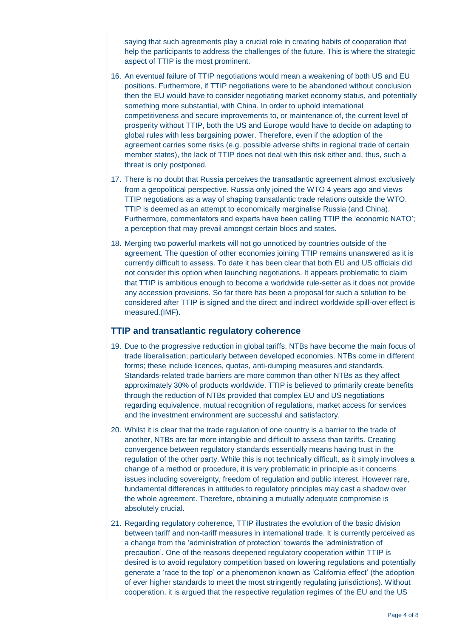saying that such agreements play a crucial role in creating habits of cooperation that help the participants to address the challenges of the future. This is where the strategic aspect of TTIP is the most prominent.

- 16. An eventual failure of TTIP negotiations would mean a weakening of both US and EU positions. Furthermore, if TTIP negotiations were to be abandoned without conclusion then the EU would have to consider negotiating market economy status, and potentially something more substantial, with China. In order to uphold international competitiveness and secure improvements to, or maintenance of, the current level of prosperity without TTIP, both the US and Europe would have to decide on adapting to global rules with less bargaining power. Therefore, even if the adoption of the agreement carries some risks (e.g. possible adverse shifts in regional trade of certain member states), the lack of TTIP does not deal with this risk either and, thus, such a threat is only postponed.
- 17. There is no doubt that Russia perceives the transatlantic agreement almost exclusively from a geopolitical perspective. Russia only joined the WTO 4 years ago and views TTIP negotiations as a way of shaping transatlantic trade relations outside the WTO. TTIP is deemed as an attempt to economically marginalise Russia (and China). Furthermore, commentators and experts have been calling TTIP the 'economic NATO'; a perception that may prevail amongst certain blocs and states.
- 18. Merging two powerful markets will not go unnoticed by countries outside of the agreement. The question of other economies joining TTIP remains unanswered as it is currently difficult to assess. To date it has been clear that both EU and US officials did not consider this option when launching negotiations. It appears problematic to claim that TTIP is ambitious enough to become a worldwide rule-setter as it does not provide any accession provisions. So far there has been a proposal for such a solution to be considered after TTIP is signed and the direct and indirect worldwide spill-over effect is measured.(IMF).

#### **TTIP and transatlantic regulatory coherence**

- 19. Due to the progressive reduction in global tariffs, NTBs have become the main focus of trade liberalisation; particularly between developed economies. NTBs come in different forms; these include licences, quotas, anti-dumping measures and standards. Standards-related trade barriers are more common than other NTBs as they affect approximately 30% of products worldwide. TTIP is believed to primarily create benefits through the reduction of NTBs provided that complex EU and US negotiations regarding equivalence, mutual recognition of regulations, market access for services and the investment environment are successful and satisfactory.
- 20. Whilst it is clear that the trade regulation of one country is a barrier to the trade of another, NTBs are far more intangible and difficult to assess than tariffs. Creating convergence between regulatory standards essentially means having trust in the regulation of the other party. While this is not technically difficult, as it simply involves a change of a method or procedure, it is very problematic in principle as it concerns issues including sovereignty, freedom of regulation and public interest. However rare, fundamental differences in attitudes to regulatory principles may cast a shadow over the whole agreement. Therefore, obtaining a mutually adequate compromise is absolutely crucial.
- 21. Regarding regulatory coherence, TTIP illustrates the evolution of the basic division between tariff and non-tariff measures in international trade. It is currently perceived as a change from the 'administration of protection' towards the 'administration of precaution'. One of the reasons deepened regulatory cooperation within TTIP is desired is to avoid regulatory competition based on lowering regulations and potentially generate a 'race to the top' or a phenomenon known as 'California effect' (the adoption of ever higher standards to meet the most stringently regulating jurisdictions). Without cooperation, it is argued that the respective regulation regimes of the EU and the US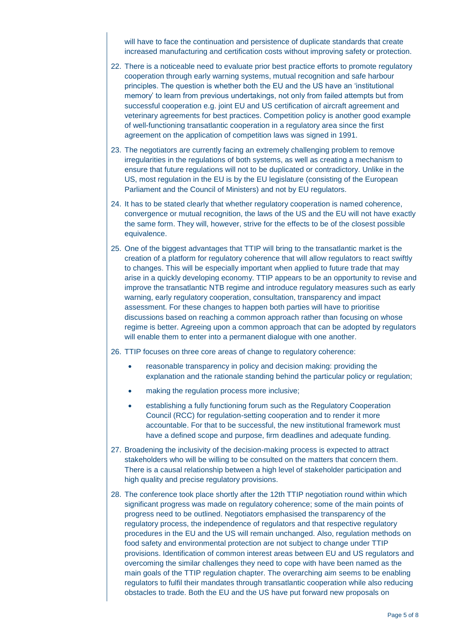will have to face the continuation and persistence of duplicate standards that create increased manufacturing and certification costs without improving safety or protection.

- 22. There is a noticeable need to evaluate prior best practice efforts to promote regulatory cooperation through early warning systems, mutual recognition and safe harbour principles. The question is whether both the EU and the US have an 'institutional memory' to learn from previous undertakings, not only from failed attempts but from successful cooperation e.g. joint EU and US certification of aircraft agreement and veterinary agreements for best practices. Competition policy is another good example of well-functioning transatlantic cooperation in a regulatory area since the first agreement on the application of competition laws was signed in 1991.
- 23. The negotiators are currently facing an extremely challenging problem to remove irregularities in the regulations of both systems, as well as creating a mechanism to ensure that future regulations will not to be duplicated or contradictory. Unlike in the US, most regulation in the EU is by the EU legislature (consisting of the European Parliament and the Council of Ministers) and not by EU regulators.
- 24. It has to be stated clearly that whether regulatory cooperation is named coherence, convergence or mutual recognition, the laws of the US and the EU will not have exactly the same form. They will, however, strive for the effects to be of the closest possible equivalence.
- 25. One of the biggest advantages that TTIP will bring to the transatlantic market is the creation of a platform for regulatory coherence that will allow regulators to react swiftly to changes. This will be especially important when applied to future trade that may arise in a quickly developing economy. TTIP appears to be an opportunity to revise and improve the transatlantic NTB regime and introduce regulatory measures such as early warning, early regulatory cooperation, consultation, transparency and impact assessment. For these changes to happen both parties will have to prioritise discussions based on reaching a common approach rather than focusing on whose regime is better. Agreeing upon a common approach that can be adopted by regulators will enable them to enter into a permanent dialogue with one another.
- 26. TTIP focuses on three core areas of change to regulatory coherence:
	- reasonable transparency in policy and decision making: providing the explanation and the rationale standing behind the particular policy or regulation;
	- making the regulation process more inclusive;
	- establishing a fully functioning forum such as the Regulatory Cooperation Council (RCC) for regulation-setting cooperation and to render it more accountable. For that to be successful, the new institutional framework must have a defined scope and purpose, firm deadlines and adequate funding.
- 27. Broadening the inclusivity of the decision-making process is expected to attract stakeholders who will be willing to be consulted on the matters that concern them. There is a causal relationship between a high level of stakeholder participation and high quality and precise regulatory provisions.
- 28. The conference took place shortly after the 12th TTIP negotiation round within which significant progress was made on regulatory coherence; some of the main points of progress need to be outlined. Negotiators emphasised the transparency of the regulatory process, the independence of regulators and that respective regulatory procedures in the EU and the US will remain unchanged. Also, regulation methods on food safety and environmental protection are not subject to change under TTIP provisions. Identification of common interest areas between EU and US regulators and overcoming the similar challenges they need to cope with have been named as the main goals of the TTIP regulation chapter. The overarching aim seems to be enabling regulators to fulfil their mandates through transatlantic cooperation while also reducing obstacles to trade. Both the EU and the US have put forward new proposals on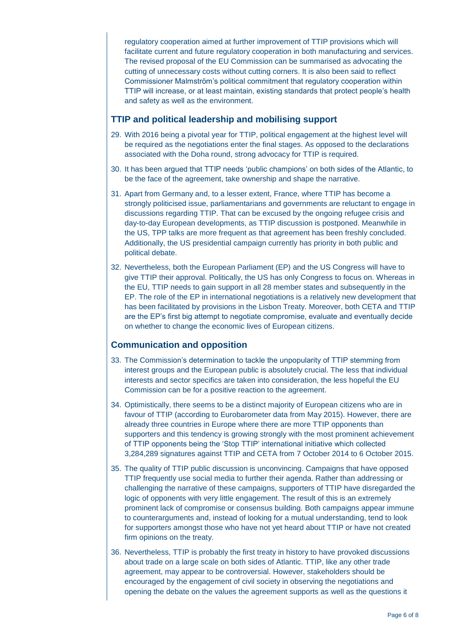regulatory cooperation aimed at further improvement of TTIP provisions which will facilitate current and future regulatory cooperation in both manufacturing and services. The revised proposal of the EU Commission can be summarised as advocating the cutting of unnecessary costs without cutting corners. It is also been said to reflect Commissioner Malmström's political commitment that regulatory cooperation within TTIP will increase, or at least maintain, existing standards that protect people's health and safety as well as the environment.

### **TTIP and political leadership and mobilising support**

- 29. With 2016 being a pivotal year for TTIP, political engagement at the highest level will be required as the negotiations enter the final stages. As opposed to the declarations associated with the Doha round, strong advocacy for TTIP is required.
- 30. It has been argued that TTIP needs 'public champions' on both sides of the Atlantic, to be the face of the agreement, take ownership and shape the narrative.
- 31. Apart from Germany and, to a lesser extent, France, where TTIP has become a strongly politicised issue, parliamentarians and governments are reluctant to engage in discussions regarding TTIP. That can be excused by the ongoing refugee crisis and day-to-day European developments, as TTIP discussion is postponed. Meanwhile in the US, TPP talks are more frequent as that agreement has been freshly concluded. Additionally, the US presidential campaign currently has priority in both public and political debate.
- 32. Nevertheless, both the European Parliament (EP) and the US Congress will have to give TTIP their approval. Politically, the US has only Congress to focus on. Whereas in the EU, TTIP needs to gain support in all 28 member states and subsequently in the EP. The role of the EP in international negotiations is a relatively new development that has been facilitated by provisions in the Lisbon Treaty. Moreover, both CETA and TTIP are the EP's first big attempt to negotiate compromise, evaluate and eventually decide on whether to change the economic lives of European citizens.

### **Communication and opposition**

- 33. The Commission's determination to tackle the unpopularity of TTIP stemming from interest groups and the European public is absolutely crucial. The less that individual interests and sector specifics are taken into consideration, the less hopeful the EU Commission can be for a positive reaction to the agreement.
- 34. Optimistically, there seems to be a distinct majority of European citizens who are in favour of TTIP (according to Eurobarometer data from May 2015). However, there are already three countries in Europe where there are more TTIP opponents than supporters and this tendency is growing strongly with the most prominent achievement of TTIP opponents being the 'Stop TTIP' international initiative which collected 3,284,289 signatures against TTIP and CETA from 7 October 2014 to 6 October 2015.
- 35. The quality of TTIP public discussion is unconvincing. Campaigns that have opposed TTIP frequently use social media to further their agenda. Rather than addressing or challenging the narrative of these campaigns, supporters of TTIP have disregarded the logic of opponents with very little engagement. The result of this is an extremely prominent lack of compromise or consensus building. Both campaigns appear immune to counterarguments and, instead of looking for a mutual understanding, tend to look for supporters amongst those who have not yet heard about TTIP or have not created firm opinions on the treaty.
- 36. Nevertheless, TTIP is probably the first treaty in history to have provoked discussions about trade on a large scale on both sides of Atlantic. TTIP, like any other trade agreement, may appear to be controversial. However, stakeholders should be encouraged by the engagement of civil society in observing the negotiations and opening the debate on the values the agreement supports as well as the questions it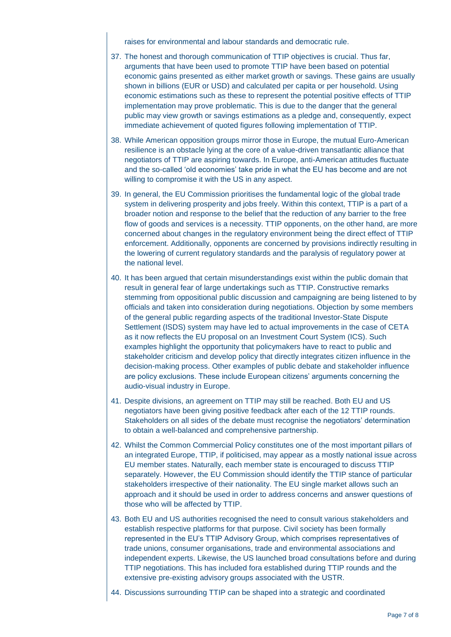raises for environmental and labour standards and democratic rule.

- 37. The honest and thorough communication of TTIP objectives is crucial. Thus far, arguments that have been used to promote TTIP have been based on potential economic gains presented as either market growth or savings. These gains are usually shown in billions (EUR or USD) and calculated per capita or per household. Using economic estimations such as these to represent the potential positive effects of TTIP implementation may prove problematic. This is due to the danger that the general public may view growth or savings estimations as a pledge and, consequently, expect immediate achievement of quoted figures following implementation of TTIP.
- 38. While American opposition groups mirror those in Europe, the mutual Euro-American resilience is an obstacle lying at the core of a value-driven transatlantic alliance that negotiators of TTIP are aspiring towards. In Europe, anti-American attitudes fluctuate and the so-called 'old economies' take pride in what the EU has become and are not willing to compromise it with the US in any aspect.
- 39. In general, the EU Commission prioritises the fundamental logic of the global trade system in delivering prosperity and jobs freely. Within this context, TTIP is a part of a broader notion and response to the belief that the reduction of any barrier to the free flow of goods and services is a necessity. TTIP opponents, on the other hand, are more concerned about changes in the regulatory environment being the direct effect of TTIP enforcement. Additionally, opponents are concerned by provisions indirectly resulting in the lowering of current regulatory standards and the paralysis of regulatory power at the national level.
- 40. It has been argued that certain misunderstandings exist within the public domain that result in general fear of large undertakings such as TTIP. Constructive remarks stemming from oppositional public discussion and campaigning are being listened to by officials and taken into consideration during negotiations. Objection by some members of the general public regarding aspects of the traditional Investor-State Dispute Settlement (ISDS) system may have led to actual improvements in the case of CETA as it now reflects the EU proposal on an Investment Court System (ICS). Such examples highlight the opportunity that policymakers have to react to public and stakeholder criticism and develop policy that directly integrates citizen influence in the decision-making process. Other examples of public debate and stakeholder influence are policy exclusions. These include European citizens' arguments concerning the audio-visual industry in Europe.
- 41. Despite divisions, an agreement on TTIP may still be reached. Both EU and US negotiators have been giving positive feedback after each of the 12 TTIP rounds. Stakeholders on all sides of the debate must recognise the negotiators' determination to obtain a well-balanced and comprehensive partnership.
- 42. Whilst the Common Commercial Policy constitutes one of the most important pillars of an integrated Europe, TTIP, if politicised, may appear as a mostly national issue across EU member states. Naturally, each member state is encouraged to discuss TTIP separately. However, the EU Commission should identify the TTIP stance of particular stakeholders irrespective of their nationality. The EU single market allows such an approach and it should be used in order to address concerns and answer questions of those who will be affected by TTIP.
- 43. Both EU and US authorities recognised the need to consult various stakeholders and establish respective platforms for that purpose. Civil society has been formally represented in the EU's TTIP Advisory Group, which comprises representatives of trade unions, consumer organisations, trade and environmental associations and independent experts. Likewise, the US launched broad consultations before and during TTIP negotiations. This has included fora established during TTIP rounds and the extensive pre-existing advisory groups associated with the USTR.
- 44. Discussions surrounding TTIP can be shaped into a strategic and coordinated